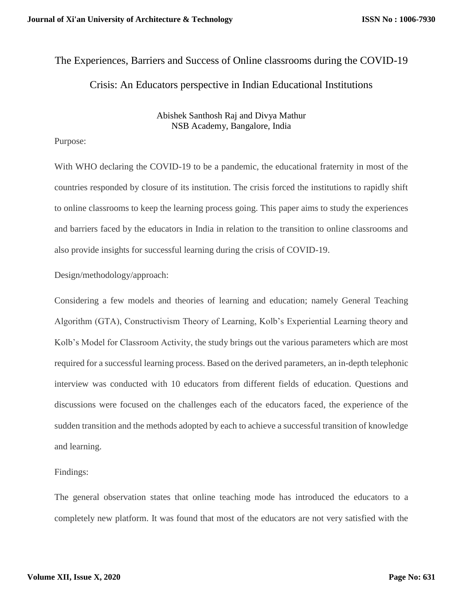# The Experiences, Barriers and Success of Online classrooms during the COVID-19 Crisis: An Educators perspective in Indian Educational Institutions

# Abishek Santhosh Raj and Divya Mathur NSB Academy, Bangalore, India

# Purpose:

With WHO declaring the COVID-19 to be a pandemic, the educational fraternity in most of the countries responded by closure of its institution. The crisis forced the institutions to rapidly shift to online classrooms to keep the learning process going. This paper aims to study the experiences and barriers faced by the educators in India in relation to the transition to online classrooms and also provide insights for successful learning during the crisis of COVID-19.

Design/methodology/approach:

Considering a few models and theories of learning and education; namely General Teaching Algorithm (GTA), Constructivism Theory of Learning, Kolb's Experiential Learning theory and Kolb's Model for Classroom Activity, the study brings out the various parameters which are most required for a successful learning process. Based on the derived parameters, an in-depth telephonic interview was conducted with 10 educators from different fields of education. Questions and discussions were focused on the challenges each of the educators faced, the experience of the sudden transition and the methods adopted by each to achieve a successful transition of knowledge and learning.

# Findings:

The general observation states that online teaching mode has introduced the educators to a completely new platform. It was found that most of the educators are not very satisfied with the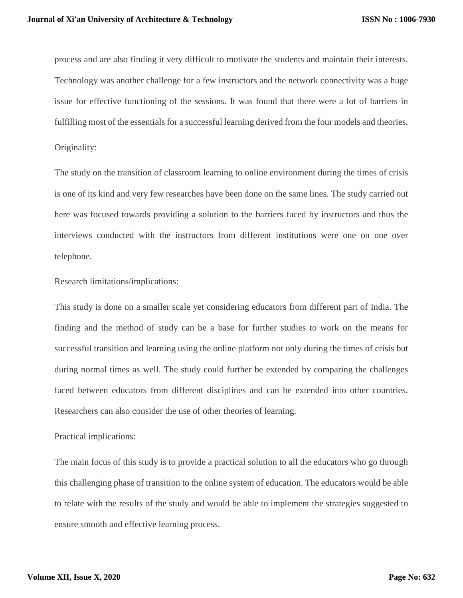process and are also finding it very difficult to motivate the students and maintain their interests. Technology was another challenge for a few instructors and the network connectivity was a huge issue for effective functioning of the sessions. It was found that there were a lot of barriers in fulfilling most of the essentials for a successful learning derived from the four models and theories.

Originality:

The study on the transition of classroom learning to online environment during the times of crisis is one of its kind and very few researches have been done on the same lines. The study carried out here was focused towards providing a solution to the barriers faced by instructors and thus the interviews conducted with the instructors from different institutions were one on one over telephone.

Research limitations/implications:

This study is done on a smaller scale yet considering educators from different part of India. The finding and the method of study can be a base for further studies to work on the means for successful transition and learning using the online platform not only during the times of crisis but during normal times as well. The study could further be extended by comparing the challenges faced between educators from different disciplines and can be extended into other countries. Researchers can also consider the use of other theories of learning.

Practical implications:

The main focus of this study is to provide a practical solution to all the educators who go through this challenging phase of transition to the online system of education. The educators would be able to relate with the results of the study and would be able to implement the strategies suggested to ensure smooth and effective learning process.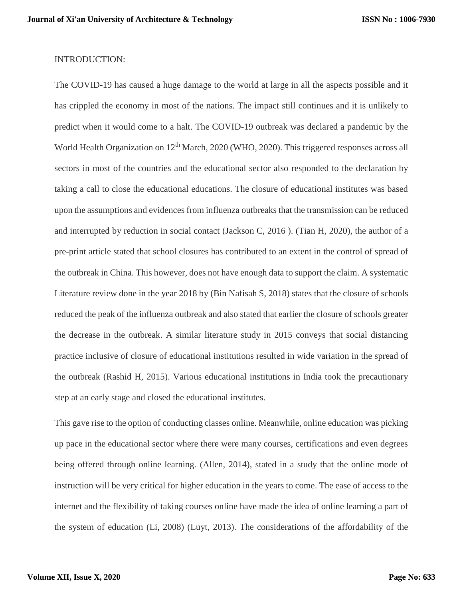## INTRODUCTION:

The COVID-19 has caused a huge damage to the world at large in all the aspects possible and it has crippled the economy in most of the nations. The impact still continues and it is unlikely to predict when it would come to a halt. The COVID-19 outbreak was declared a pandemic by the World Health Organization on 12<sup>th</sup> March, 2020 (WHO, 2020). This triggered responses across all sectors in most of the countries and the educational sector also responded to the declaration by taking a call to close the educational educations. The closure of educational institutes was based upon the assumptions and evidences from influenza outbreaks that the transmission can be reduced and interrupted by reduction in social contact (Jackson C, 2016 ). (Tian H, 2020), the author of a pre-print article stated that school closures has contributed to an extent in the control of spread of the outbreak in China. This however, does not have enough data to support the claim. A systematic Literature review done in the year 2018 by (Bin Nafisah S, 2018) states that the closure of schools reduced the peak of the influenza outbreak and also stated that earlier the closure of schools greater the decrease in the outbreak. A similar literature study in 2015 conveys that social distancing practice inclusive of closure of educational institutions resulted in wide variation in the spread of the outbreak (Rashid H, 2015). Various educational institutions in India took the precautionary step at an early stage and closed the educational institutes.

This gave rise to the option of conducting classes online. Meanwhile, online education was picking up pace in the educational sector where there were many courses, certifications and even degrees being offered through online learning. (Allen, 2014), stated in a study that the online mode of instruction will be very critical for higher education in the years to come. The ease of access to the internet and the flexibility of taking courses online have made the idea of online learning a part of the system of education (Li, 2008) (Luyt, 2013). The considerations of the affordability of the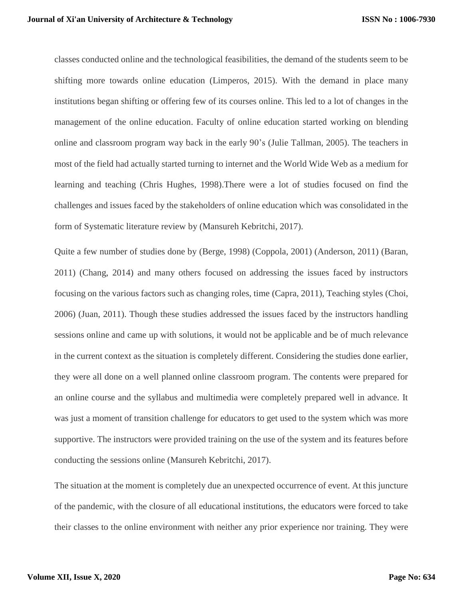classes conducted online and the technological feasibilities, the demand of the students seem to be shifting more towards online education (Limperos, 2015). With the demand in place many institutions began shifting or offering few of its courses online. This led to a lot of changes in the management of the online education. Faculty of online education started working on blending online and classroom program way back in the early 90's (Julie Tallman, 2005). The teachers in most of the field had actually started turning to internet and the World Wide Web as a medium for learning and teaching (Chris Hughes, 1998).There were a lot of studies focused on find the challenges and issues faced by the stakeholders of online education which was consolidated in the form of Systematic literature review by (Mansureh Kebritchi, 2017).

Quite a few number of studies done by (Berge, 1998) (Coppola, 2001) (Anderson, 2011) (Baran, 2011) (Chang, 2014) and many others focused on addressing the issues faced by instructors focusing on the various factors such as changing roles, time (Capra, 2011), Teaching styles (Choi, 2006) (Juan, 2011). Though these studies addressed the issues faced by the instructors handling sessions online and came up with solutions, it would not be applicable and be of much relevance in the current context as the situation is completely different. Considering the studies done earlier, they were all done on a well planned online classroom program. The contents were prepared for an online course and the syllabus and multimedia were completely prepared well in advance. It was just a moment of transition challenge for educators to get used to the system which was more supportive. The instructors were provided training on the use of the system and its features before conducting the sessions online (Mansureh Kebritchi, 2017).

The situation at the moment is completely due an unexpected occurrence of event. At this juncture of the pandemic, with the closure of all educational institutions, the educators were forced to take their classes to the online environment with neither any prior experience nor training. They were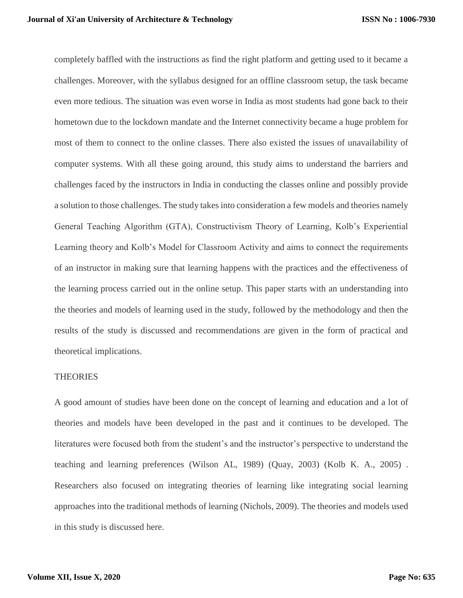completely baffled with the instructions as find the right platform and getting used to it became a challenges. Moreover, with the syllabus designed for an offline classroom setup, the task became even more tedious. The situation was even worse in India as most students had gone back to their hometown due to the lockdown mandate and the Internet connectivity became a huge problem for most of them to connect to the online classes. There also existed the issues of unavailability of computer systems. With all these going around, this study aims to understand the barriers and challenges faced by the instructors in India in conducting the classes online and possibly provide a solution to those challenges. The study takes into consideration a few models and theories namely General Teaching Algorithm (GTA), Constructivism Theory of Learning, Kolb's Experiential Learning theory and Kolb's Model for Classroom Activity and aims to connect the requirements of an instructor in making sure that learning happens with the practices and the effectiveness of the learning process carried out in the online setup. This paper starts with an understanding into the theories and models of learning used in the study, followed by the methodology and then the results of the study is discussed and recommendations are given in the form of practical and theoretical implications.

## **THEORIES**

A good amount of studies have been done on the concept of learning and education and a lot of theories and models have been developed in the past and it continues to be developed. The literatures were focused both from the student's and the instructor's perspective to understand the teaching and learning preferences (Wilson AL, 1989) (Quay, 2003) (Kolb K. A., 2005) . Researchers also focused on integrating theories of learning like integrating social learning approaches into the traditional methods of learning (Nichols, 2009). The theories and models used in this study is discussed here.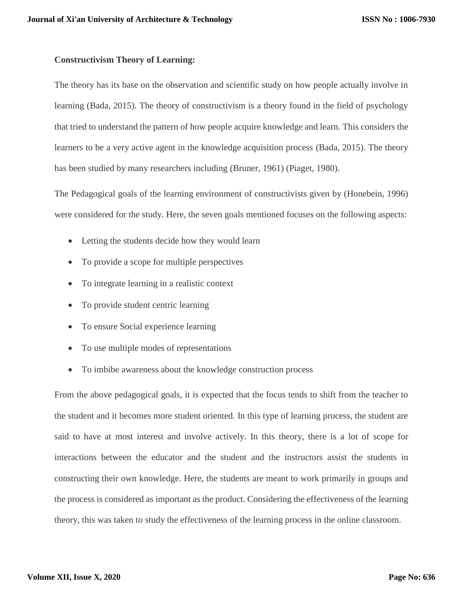# **Constructivism Theory of Learning:**

The theory has its base on the observation and scientific study on how people actually involve in learning (Bada, 2015). The theory of constructivism is a theory found in the field of psychology that tried to understand the pattern of how people acquire knowledge and learn. This considers the learners to be a very active agent in the knowledge acquisition process (Bada, 2015). The theory has been studied by many researchers including (Bruner, 1961) (Piaget, 1980).

The Pedagogical goals of the learning environment of constructivists given by (Honebein, 1996) were considered for the study. Here, the seven goals mentioned focuses on the following aspects:

- Letting the students decide how they would learn
- To provide a scope for multiple perspectives
- To integrate learning in a realistic context
- To provide student centric learning
- To ensure Social experience learning
- To use multiple modes of representations
- To imbibe awareness about the knowledge construction process

From the above pedagogical goals, it is expected that the focus tends to shift from the teacher to the student and it becomes more student oriented. In this type of learning process, the student are said to have at most interest and involve actively. In this theory, there is a lot of scope for interactions between the educator and the student and the instructors assist the students in constructing their own knowledge. Here, the students are meant to work primarily in groups and the process is considered as important as the product. Considering the effectiveness of the learning theory, this was taken to study the effectiveness of the learning process in the online classroom.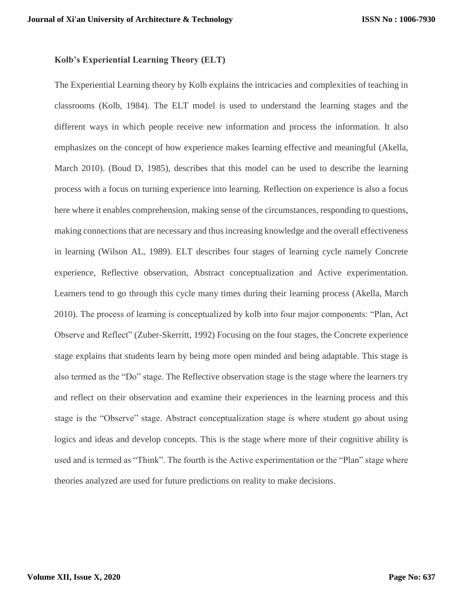# **Kolb's Experiential Learning Theory (ELT)**

The Experiential Learning theory by Kolb explains the intricacies and complexities of teaching in classrooms (Kolb, 1984). The ELT model is used to understand the learning stages and the different ways in which people receive new information and process the information. It also emphasizes on the concept of how experience makes learning effective and meaningful (Akella, March 2010). (Boud D, 1985), describes that this model can be used to describe the learning process with a focus on turning experience into learning. Reflection on experience is also a focus here where it enables comprehension, making sense of the circumstances, responding to questions, making connections that are necessary and thus increasing knowledge and the overall effectiveness in learning (Wilson AL, 1989). ELT describes four stages of learning cycle namely Concrete experience, Reflective observation, Abstract conceptualization and Active experimentation. Learners tend to go through this cycle many times during their learning process (Akella, March 2010). The process of learning is conceptualized by kolb into four major components: "Plan, Act Observe and Reflect" (Zuber-Skerritt, 1992) Focusing on the four stages, the Concrete experience stage explains that students learn by being more open minded and being adaptable. This stage is also termed as the "Do" stage. The Reflective observation stage is the stage where the learners try and reflect on their observation and examine their experiences in the learning process and this stage is the "Observe" stage. Abstract conceptualization stage is where student go about using logics and ideas and develop concepts. This is the stage where more of their cognitive ability is used and is termed as "Think". The fourth is the Active experimentation or the "Plan" stage where theories analyzed are used for future predictions on reality to make decisions.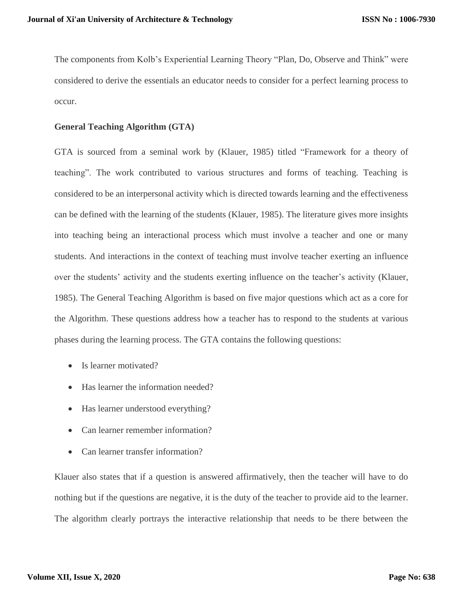The components from Kolb's Experiential Learning Theory "Plan, Do, Observe and Think" were considered to derive the essentials an educator needs to consider for a perfect learning process to occur.

# **General Teaching Algorithm (GTA)**

GTA is sourced from a seminal work by (Klauer, 1985) titled "Framework for a theory of teaching". The work contributed to various structures and forms of teaching. Teaching is considered to be an interpersonal activity which is directed towards learning and the effectiveness can be defined with the learning of the students (Klauer, 1985). The literature gives more insights into teaching being an interactional process which must involve a teacher and one or many students. And interactions in the context of teaching must involve teacher exerting an influence over the students' activity and the students exerting influence on the teacher's activity (Klauer, 1985). The General Teaching Algorithm is based on five major questions which act as a core for the Algorithm. These questions address how a teacher has to respond to the students at various phases during the learning process. The GTA contains the following questions:

- Is learner motivated?
- Has learner the information needed?
- Has learner understood everything?
- Can learner remember information?
- Can learner transfer information?

Klauer also states that if a question is answered affirmatively, then the teacher will have to do nothing but if the questions are negative, it is the duty of the teacher to provide aid to the learner. The algorithm clearly portrays the interactive relationship that needs to be there between the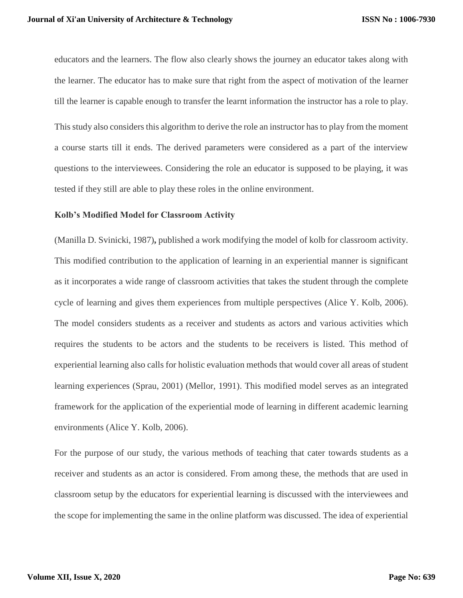educators and the learners. The flow also clearly shows the journey an educator takes along with the learner. The educator has to make sure that right from the aspect of motivation of the learner till the learner is capable enough to transfer the learnt information the instructor has a role to play. This study also considers this algorithm to derive the role an instructor has to play from the moment a course starts till it ends. The derived parameters were considered as a part of the interview questions to the interviewees. Considering the role an educator is supposed to be playing, it was tested if they still are able to play these roles in the online environment.

#### **Kolb's Modified Model for Classroom Activity**

(Manilla D. Svinicki, 1987)**,** published a work modifying the model of kolb for classroom activity. This modified contribution to the application of learning in an experiential manner is significant as it incorporates a wide range of classroom activities that takes the student through the complete cycle of learning and gives them experiences from multiple perspectives (Alice Y. Kolb, 2006). The model considers students as a receiver and students as actors and various activities which requires the students to be actors and the students to be receivers is listed. This method of experiential learning also calls for holistic evaluation methods that would cover all areas of student learning experiences (Sprau, 2001) (Mellor, 1991). This modified model serves as an integrated framework for the application of the experiential mode of learning in different academic learning environments (Alice Y. Kolb, 2006).

For the purpose of our study, the various methods of teaching that cater towards students as a receiver and students as an actor is considered. From among these, the methods that are used in classroom setup by the educators for experiential learning is discussed with the interviewees and the scope for implementing the same in the online platform was discussed. The idea of experiential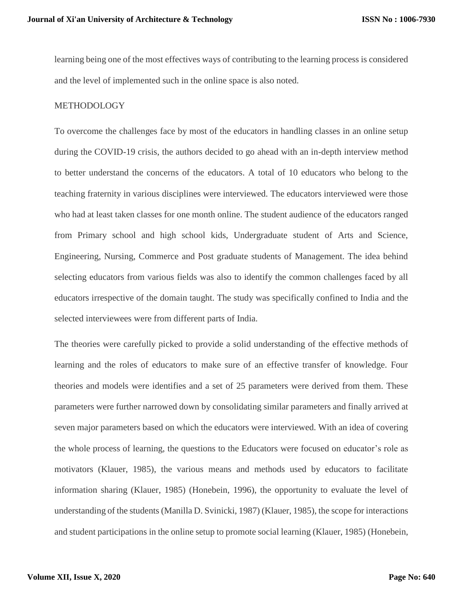learning being one of the most effectives ways of contributing to the learning process is considered and the level of implemented such in the online space is also noted.

### METHODOLOGY

To overcome the challenges face by most of the educators in handling classes in an online setup during the COVID-19 crisis, the authors decided to go ahead with an in-depth interview method to better understand the concerns of the educators. A total of 10 educators who belong to the teaching fraternity in various disciplines were interviewed. The educators interviewed were those who had at least taken classes for one month online. The student audience of the educators ranged from Primary school and high school kids, Undergraduate student of Arts and Science, Engineering, Nursing, Commerce and Post graduate students of Management. The idea behind selecting educators from various fields was also to identify the common challenges faced by all educators irrespective of the domain taught. The study was specifically confined to India and the selected interviewees were from different parts of India.

The theories were carefully picked to provide a solid understanding of the effective methods of learning and the roles of educators to make sure of an effective transfer of knowledge. Four theories and models were identifies and a set of 25 parameters were derived from them. These parameters were further narrowed down by consolidating similar parameters and finally arrived at seven major parameters based on which the educators were interviewed. With an idea of covering the whole process of learning, the questions to the Educators were focused on educator's role as motivators (Klauer, 1985), the various means and methods used by educators to facilitate information sharing (Klauer, 1985) (Honebein, 1996), the opportunity to evaluate the level of understanding of the students (Manilla D. Svinicki, 1987) (Klauer, 1985), the scope for interactions and student participations in the online setup to promote social learning (Klauer, 1985) (Honebein,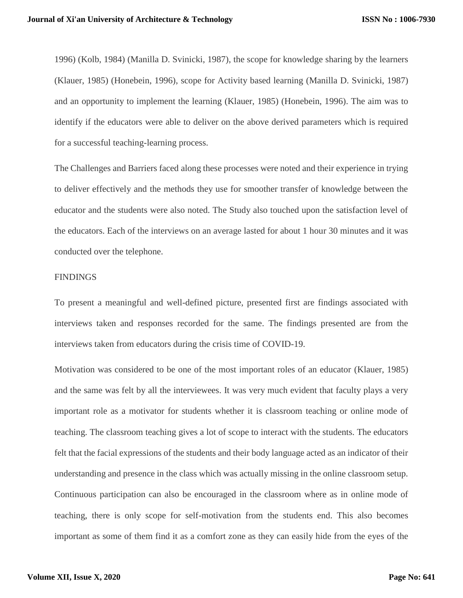1996) (Kolb, 1984) (Manilla D. Svinicki, 1987), the scope for knowledge sharing by the learners (Klauer, 1985) (Honebein, 1996), scope for Activity based learning (Manilla D. Svinicki, 1987) and an opportunity to implement the learning (Klauer, 1985) (Honebein, 1996). The aim was to identify if the educators were able to deliver on the above derived parameters which is required for a successful teaching-learning process.

The Challenges and Barriers faced along these processes were noted and their experience in trying to deliver effectively and the methods they use for smoother transfer of knowledge between the educator and the students were also noted. The Study also touched upon the satisfaction level of the educators. Each of the interviews on an average lasted for about 1 hour 30 minutes and it was conducted over the telephone.

#### FINDINGS

To present a meaningful and well-defined picture, presented first are findings associated with interviews taken and responses recorded for the same. The findings presented are from the interviews taken from educators during the crisis time of COVID-19.

Motivation was considered to be one of the most important roles of an educator (Klauer, 1985) and the same was felt by all the interviewees. It was very much evident that faculty plays a very important role as a motivator for students whether it is classroom teaching or online mode of teaching. The classroom teaching gives a lot of scope to interact with the students. The educators felt that the facial expressions of the students and their body language acted as an indicator of their understanding and presence in the class which was actually missing in the online classroom setup. Continuous participation can also be encouraged in the classroom where as in online mode of teaching, there is only scope for self-motivation from the students end. This also becomes important as some of them find it as a comfort zone as they can easily hide from the eyes of the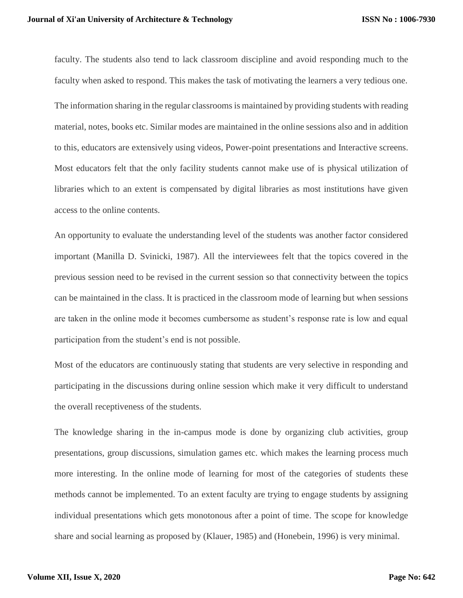faculty. The students also tend to lack classroom discipline and avoid responding much to the faculty when asked to respond. This makes the task of motivating the learners a very tedious one. The information sharing in the regular classrooms is maintained by providing students with reading material, notes, books etc. Similar modes are maintained in the online sessions also and in addition to this, educators are extensively using videos, Power-point presentations and Interactive screens. Most educators felt that the only facility students cannot make use of is physical utilization of libraries which to an extent is compensated by digital libraries as most institutions have given access to the online contents.

An opportunity to evaluate the understanding level of the students was another factor considered important (Manilla D. Svinicki, 1987). All the interviewees felt that the topics covered in the previous session need to be revised in the current session so that connectivity between the topics can be maintained in the class. It is practiced in the classroom mode of learning but when sessions are taken in the online mode it becomes cumbersome as student's response rate is low and equal participation from the student's end is not possible.

Most of the educators are continuously stating that students are very selective in responding and participating in the discussions during online session which make it very difficult to understand the overall receptiveness of the students.

The knowledge sharing in the in-campus mode is done by organizing club activities, group presentations, group discussions, simulation games etc. which makes the learning process much more interesting. In the online mode of learning for most of the categories of students these methods cannot be implemented. To an extent faculty are trying to engage students by assigning individual presentations which gets monotonous after a point of time. The scope for knowledge share and social learning as proposed by (Klauer, 1985) and (Honebein, 1996) is very minimal.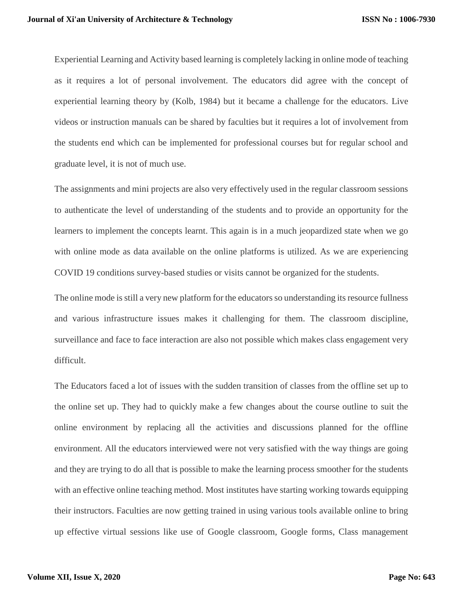Experiential Learning and Activity based learning is completely lacking in online mode of teaching as it requires a lot of personal involvement. The educators did agree with the concept of experiential learning theory by (Kolb, 1984) but it became a challenge for the educators. Live videos or instruction manuals can be shared by faculties but it requires a lot of involvement from the students end which can be implemented for professional courses but for regular school and graduate level, it is not of much use.

The assignments and mini projects are also very effectively used in the regular classroom sessions to authenticate the level of understanding of the students and to provide an opportunity for the learners to implement the concepts learnt. This again is in a much jeopardized state when we go with online mode as data available on the online platforms is utilized. As we are experiencing COVID 19 conditions survey-based studies or visits cannot be organized for the students.

The online mode is still a very new platform for the educators so understanding its resource fullness and various infrastructure issues makes it challenging for them. The classroom discipline, surveillance and face to face interaction are also not possible which makes class engagement very difficult.

The Educators faced a lot of issues with the sudden transition of classes from the offline set up to the online set up. They had to quickly make a few changes about the course outline to suit the online environment by replacing all the activities and discussions planned for the offline environment. All the educators interviewed were not very satisfied with the way things are going and they are trying to do all that is possible to make the learning process smoother for the students with an effective online teaching method. Most institutes have starting working towards equipping their instructors. Faculties are now getting trained in using various tools available online to bring up effective virtual sessions like use of Google classroom, Google forms, Class management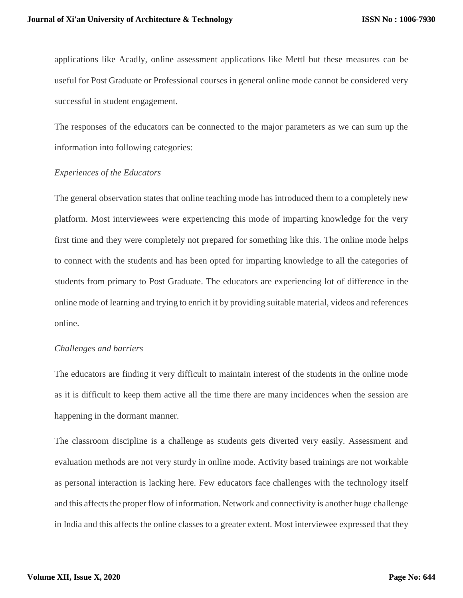applications like Acadly, online assessment applications like Mettl but these measures can be useful for Post Graduate or Professional courses in general online mode cannot be considered very successful in student engagement.

The responses of the educators can be connected to the major parameters as we can sum up the information into following categories:

# *Experiences of the Educators*

The general observation states that online teaching mode has introduced them to a completely new platform. Most interviewees were experiencing this mode of imparting knowledge for the very first time and they were completely not prepared for something like this. The online mode helps to connect with the students and has been opted for imparting knowledge to all the categories of students from primary to Post Graduate. The educators are experiencing lot of difference in the online mode of learning and trying to enrich it by providing suitable material, videos and references online.

## *Challenges and barriers*

The educators are finding it very difficult to maintain interest of the students in the online mode as it is difficult to keep them active all the time there are many incidences when the session are happening in the dormant manner.

The classroom discipline is a challenge as students gets diverted very easily. Assessment and evaluation methods are not very sturdy in online mode. Activity based trainings are not workable as personal interaction is lacking here. Few educators face challenges with the technology itself and this affects the proper flow of information. Network and connectivity is another huge challenge in India and this affects the online classes to a greater extent. Most interviewee expressed that they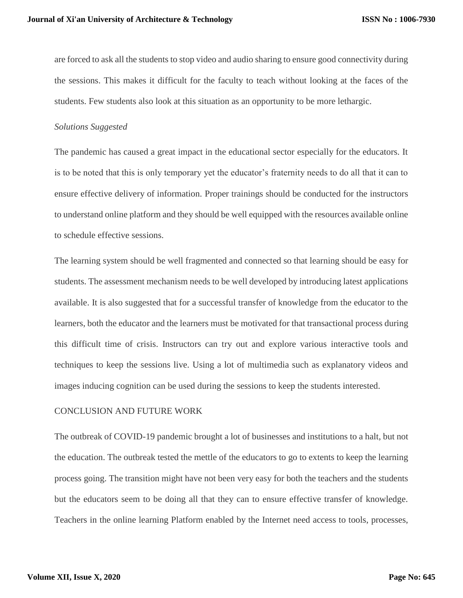are forced to ask all the students to stop video and audio sharing to ensure good connectivity during the sessions. This makes it difficult for the faculty to teach without looking at the faces of the students. Few students also look at this situation as an opportunity to be more lethargic.

# *Solutions Suggested*

The pandemic has caused a great impact in the educational sector especially for the educators. It is to be noted that this is only temporary yet the educator's fraternity needs to do all that it can to ensure effective delivery of information. Proper trainings should be conducted for the instructors to understand online platform and they should be well equipped with the resources available online to schedule effective sessions.

The learning system should be well fragmented and connected so that learning should be easy for students. The assessment mechanism needs to be well developed by introducing latest applications available. It is also suggested that for a successful transfer of knowledge from the educator to the learners, both the educator and the learners must be motivated for that transactional process during this difficult time of crisis. Instructors can try out and explore various interactive tools and techniques to keep the sessions live. Using a lot of multimedia such as explanatory videos and images inducing cognition can be used during the sessions to keep the students interested.

## CONCLUSION AND FUTURE WORK

The outbreak of COVID-19 pandemic brought a lot of businesses and institutions to a halt, but not the education. The outbreak tested the mettle of the educators to go to extents to keep the learning process going. The transition might have not been very easy for both the teachers and the students but the educators seem to be doing all that they can to ensure effective transfer of knowledge. Teachers in the online learning Platform enabled by the Internet need access to tools, processes,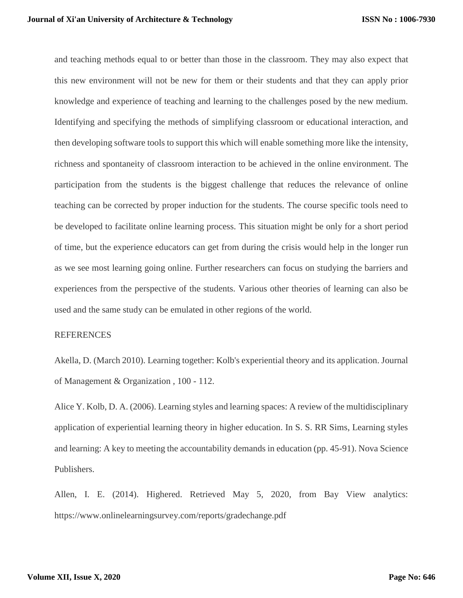and teaching methods equal to or better than those in the classroom. They may also expect that this new environment will not be new for them or their students and that they can apply prior knowledge and experience of teaching and learning to the challenges posed by the new medium. Identifying and specifying the methods of simplifying classroom or educational interaction, and then developing software tools to support this which will enable something more like the intensity, richness and spontaneity of classroom interaction to be achieved in the online environment. The participation from the students is the biggest challenge that reduces the relevance of online teaching can be corrected by proper induction for the students. The course specific tools need to be developed to facilitate online learning process. This situation might be only for a short period of time, but the experience educators can get from during the crisis would help in the longer run as we see most learning going online. Further researchers can focus on studying the barriers and experiences from the perspective of the students. Various other theories of learning can also be used and the same study can be emulated in other regions of the world.

#### **REFERENCES**

Akella, D. (March 2010). Learning together: Kolb's experiential theory and its application. Journal of Management & Organization , 100 - 112.

Alice Y. Kolb, D. A. (2006). Learning styles and learning spaces: A review of the multidisciplinary application of experiential learning theory in higher education. In S. S. RR Sims, Learning styles and learning: A key to meeting the accountability demands in education (pp. 45-91). Nova Science Publishers.

Allen, I. E. (2014). Highered. Retrieved May 5, 2020, from Bay View analytics: https://www.onlinelearningsurvey.com/reports/gradechange.pdf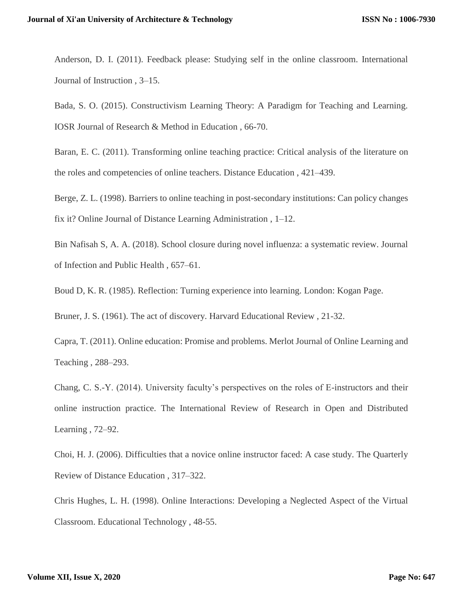Anderson, D. I. (2011). Feedback please: Studying self in the online classroom. International Journal of Instruction , 3–15.

Bada, S. O. (2015). Constructivism Learning Theory: A Paradigm for Teaching and Learning. IOSR Journal of Research & Method in Education , 66-70.

Baran, E. C. (2011). Transforming online teaching practice: Critical analysis of the literature on the roles and competencies of online teachers. Distance Education , 421–439.

Berge, Z. L. (1998). Barriers to online teaching in post-secondary institutions: Can policy changes fix it? Online Journal of Distance Learning Administration , 1–12.

Bin Nafisah S, A. A. (2018). School closure during novel influenza: a systematic review. Journal of Infection and Public Health , 657–61.

Boud D, K. R. (1985). Reflection: Turning experience into learning. London: Kogan Page.

Bruner, J. S. (1961). The act of discovery. Harvard Educational Review , 21-32.

Capra, T. (2011). Online education: Promise and problems. Merlot Journal of Online Learning and Teaching , 288–293.

Chang, C. S.-Y. (2014). University faculty's perspectives on the roles of E-instructors and their online instruction practice. The International Review of Research in Open and Distributed Learning , 72–92.

Choi, H. J. (2006). Difficulties that a novice online instructor faced: A case study. The Quarterly Review of Distance Education , 317–322.

Chris Hughes, L. H. (1998). Online Interactions: Developing a Neglected Aspect of the Virtual Classroom. Educational Technology , 48-55.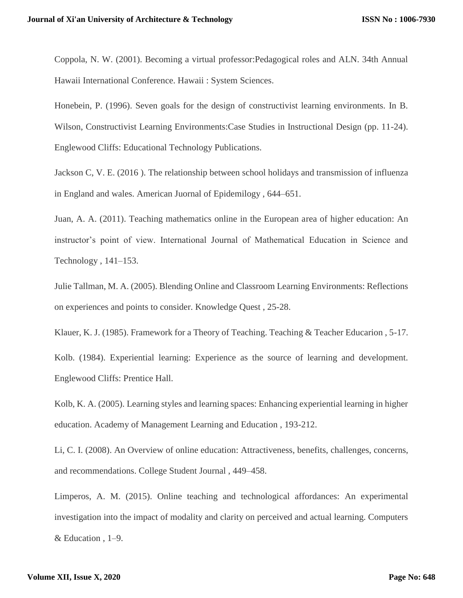Coppola, N. W. (2001). Becoming a virtual professor:Pedagogical roles and ALN. 34th Annual Hawaii International Conference. Hawaii : System Sciences.

Honebein, P. (1996). Seven goals for the design of constructivist learning environments. In B. Wilson, Constructivist Learning Environments: Case Studies in Instructional Design (pp. 11-24). Englewood Cliffs: Educational Technology Publications.

Jackson C, V. E. (2016 ). The relationship between school holidays and transmission of influenza in England and wales. American Juornal of Epidemilogy , 644–651.

Juan, A. A. (2011). Teaching mathematics online in the European area of higher education: An instructor's point of view. International Journal of Mathematical Education in Science and Technology , 141–153.

Julie Tallman, M. A. (2005). Blending Online and Classroom Learning Environments: Reflections on experiences and points to consider. Knowledge Quest , 25-28.

Klauer, K. J. (1985). Framework for a Theory of Teaching. Teaching & Teacher Educarion , 5-17.

Kolb. (1984). Experiential learning: Experience as the source of learning and development. Englewood Cliffs: Prentice Hall.

Kolb, K. A. (2005). Learning styles and learning spaces: Enhancing experiential learning in higher education. Academy of Management Learning and Education , 193-212.

Li, C. I. (2008). An Overview of online education: Attractiveness, benefits, challenges, concerns, and recommendations. College Student Journal , 449–458.

Limperos, A. M. (2015). Online teaching and technological affordances: An experimental investigation into the impact of modality and clarity on perceived and actual learning. Computers & Education , 1–9.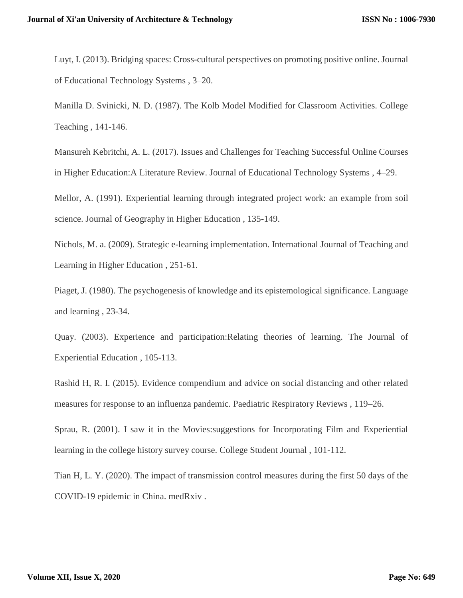Luyt, I. (2013). Bridging spaces: Cross-cultural perspectives on promoting positive online. Journal of Educational Technology Systems , 3–20.

Manilla D. Svinicki, N. D. (1987). The Kolb Model Modified for Classroom Activities. College Teaching , 141-146.

Mansureh Kebritchi, A. L. (2017). Issues and Challenges for Teaching Successful Online Courses in Higher Education:A Literature Review. Journal of Educational Technology Systems , 4–29.

Mellor, A. (1991). Experiential learning through integrated project work: an example from soil science. Journal of Geography in Higher Education , 135-149.

Nichols, M. a. (2009). Strategic e-learning implementation. International Journal of Teaching and Learning in Higher Education , 251-61.

Piaget, J. (1980). The psychogenesis of knowledge and its epistemological significance. Language and learning , 23-34.

Quay. (2003). Experience and participation:Relating theories of learning. The Journal of Experiential Education , 105-113.

Rashid H, R. I. (2015). Evidence compendium and advice on social distancing and other related measures for response to an influenza pandemic. Paediatric Respiratory Reviews , 119–26.

Sprau, R. (2001). I saw it in the Movies:suggestions for Incorporating Film and Experiential learning in the college history survey course. College Student Journal , 101-112.

Tian H, L. Y. (2020). The impact of transmission control measures during the first 50 days of the COVID-19 epidemic in China. medRxiv .